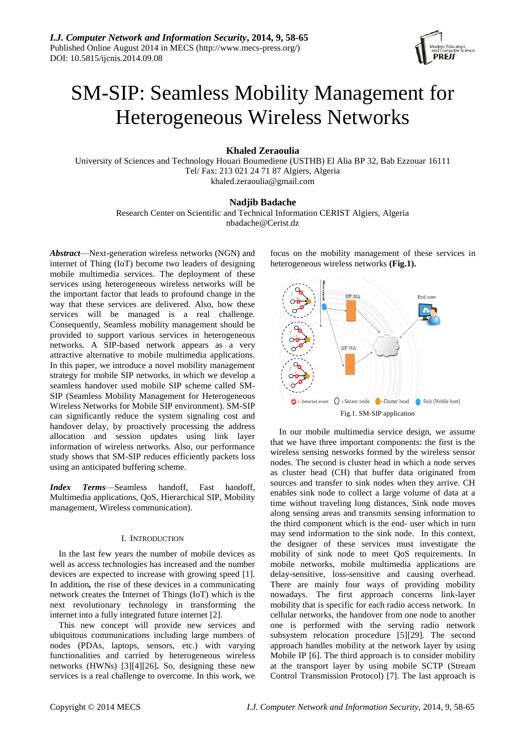

# SM-SIP: Seamless Mobility Management for Heterogeneous Wireless Networks

**Khaled Zeraoulia**

University of Sciences and Technology Houari Boumediene (USTHB) El Alia BP 32, Bab Ezzouar 16111 Tel/ Fax: 213 021 24 71 87 Algiers, Algeria khaled.zeraoulia@gmail.com

## **Nadjib Badache**

Research Center on Scientific and Technical Information CERIST Algiers, Algeria nbadache@Cerist.dz

*Abstract*—Next-generation wireless networks (NGN) and internet of Thing (IoT) become two leaders of designing mobile multimedia services. The deployment of these services using heterogeneous wireless networks will be the important factor that leads to profound change in the way that these services are delivered. Also, how these services will be managed is a real challenge. Consequently, Seamless mobility management should be provided to support various services in heterogeneous networks. A SIP-based network appears as a very attractive alternative to mobile multimedia applications. In this paper, we introduce a novel mobility management strategy for mobile SIP networks, in which we develop a seamless handover used mobile SIP scheme called SM-SIP (Seamless Mobility Management for Heterogeneous Wireless Networks fo[r Mobile SIP environment\)](http://www.freepbx.org/forum/freepbx/tips-and-tricks/mobile-sip-environment). SM-SIP can significantly reduce the system signaling cost and handover delay, by proactively processing the address allocation and session updates using link layer information of wireless networks. Also, our performance study shows that SM-SIP reduces efficiently packets loss using an anticipated buffering scheme.

*Index Terms*—Seamless handoff, Fast handoff, Multimedia applications, QoS, Hierarchical SIP, Mobility management, Wireless communication).

## I. INTRODUCTION

In the last few years the number of mobile devices as well as access technologies has increased and the number devices are expected to increase with growing speed [1]. In addition*,* the rise of these devices in a communicating network creates the Internet of Things (IoT) which is the next revolutionary technology in transforming the internet into a fully integrated future internet [2].

This new concept will provide new services and ubiquitous communications including large numbers of nodes (PDAs, laptops, sensors, etc.) with varying functionalities and carried by heterogeneous wireless networks (HWNs) [3][4][26]**.** So, designing these new services is a real challenge to overcome. In this work, we

focus on the mobility management of these services in heterogeneous wireless networks **(Fig.1).**



In our mobile multimedia service design, we assume that we have three important components: the first is the wireless sensing networks formed by the wireless sensor nodes. The second is cluster head in which a node serves as cluster head (CH) that buffer data originated from sources and transfer to sink nodes when they arrive. CH enables sink node to collect a large volume of data at a time without traveling long distances, Sink node moves along sensing areas and transmits sensing information to the third component which is the end- user which in turn may send information to the sink node. In this context, the designer of these services must investigate the mobility of sink node to meet QoS requirements. In mobile networks, mobile multimedia applications are delay-sensitive, loss-sensitive and causing overhead. There are mainly four ways of providing mobility nowadays. The first approach concerns link-layer mobility that is specific for each radio access network. In cellular networks, the handover from one node to another one is performed with the serving radio network subsystem relocation procedure [5][29]. The second approach handles mobility at the network layer by using Mobile IP [6]. The third approach is to consider mobility at the transport layer by using mobile SCTP (Stream Control Transmission Protocol) [7]. The last approach is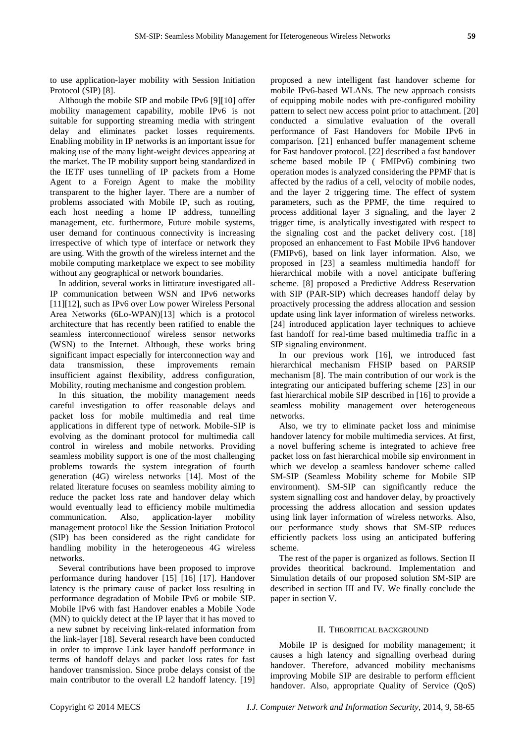to use application-layer mobility with Session Initiation Protocol (SIP) [8].

Although the mobile SIP and mobile IPv6 [9][10] offer mobility management capability, mobile IPv6 is not suitable for supporting streaming media with stringent delay and eliminates packet losses requirements. Enabling mobility in IP networks is an important issue for making use of the many light-weight devices appearing at the market. The IP mobility support being standardized in the IETF uses tunnelling of IP packets from a Home Agent to a Foreign Agent to make the mobility transparent to the higher layer. There are a number of problems associated with Mobile IP, such as routing, each host needing a home IP address, tunnelling management, etc. furthermore, Future mobile systems, user demand for continuous connectivity is increasing irrespective of which type of interface or network they are using. With the growth of the wireless internet and the mobile computing marketplace we expect to see mobility without any geographical or network boundaries.

In addition, several works in littirature investigated all-IP communication between WSN and IPv6 networks [11][12], such as IPv6 over Low power Wireless Personal Area Networks (6Lo-WPAN)[13] which is a protocol architecture that has recently been ratified to enable the seamless interconnectionof wireless sensor networks (WSN) to the Internet. Although, these works bring significant impact especially for interconnection way and data transmission, these improvements remain insufficient against flexibility, address configuration, Mobility, routing mechanisme and congestion problem.

In this situation, the mobility management needs careful investigation to offer reasonable delays and packet loss for mobile multimedia and real time applications in different type of network. Mobile-SIP is evolving as the dominant protocol for multimedia call control in wireless and mobile networks. Providing seamless mobility support is one of the most challenging problems towards the system integration of fourth generation (4G) wireless networks [14]. Most of the related literature focuses on seamless mobility aiming to reduce the packet loss rate and handover delay which would eventually lead to efficiency mobile multimedia communication. Also, application-layer mobility management protocol like the Session Initiation Protocol (SIP) has been considered as the right candidate for handling mobility in the heterogeneous 4G wireless networks.

Several contributions have been proposed to improve performance during handover [15] [16] [17]. Handover latency is the primary cause of packet loss resulting in performance degradation of Mobile IPv6 or mobile SIP. Mobile IPv6 with fast Handover enables a Mobile Node (MN) to quickly detect at the IP layer that it has moved to a new subnet by receiving link-related information from the link-layer [18]. Several research have been conducted in order to improve Link layer handoff performance in terms of handoff delays and packet loss rates for fast handover transmission. Since probe delays consist of the main contributor to the overall L2 handoff latency. [19]

proposed a new intelligent fast handover scheme for mobile IPv6-based WLANs. The new approach consists of equipping mobile nodes with pre-configured mobility pattern to select new access point prior to attachment. [20] conducted a simulative evaluation of the overall performance of Fast Handovers for Mobile IPv6 in comparison. [21] enhanced buffer management scheme for Fast handover protocol*.* [22] described a fast handover scheme based mobile IP ( FMIPv6) combining two operation modes is analyzed considering the PPMF that is affected by the radius of a cell, velocity of mobile nodes, and the layer 2 triggering time. The effect of system parameters, such as the PPMF, the time required to process additional layer 3 signaling, and the layer 2 trigger time, is analytically investigated with respect to the signaling cost and the packet delivery cost. [18] proposed an enhancement to Fast Mobile IPv6 handover (FMIPv6), based on link layer information. Also, we proposed in [23] a seamless multimedia handoff for hierarchical mobile with a novel anticipate buffering scheme. [8] proposed a Predictive Address Reservation with SIP (PAR-SIP) which decreases handoff delay by proactively processing the address allocation and session update using link layer information of wireless networks. [24] introduced application layer techniques to achieve fast handoff for real-time based multimedia traffic in a SIP signaling environment.

In our previous work [16], we introduced fast hierarchical mechanism FHSIP based on PARSIP mechanism [8]. The main contribution of our work is the integrating our anticipated buffering scheme [23] in our fast hierarchical mobile SIP described in [16] to provide a seamless mobility management over heterogeneous networks.

Also, we try to eliminate packet loss and minimise handover latency for mobile multimedia services. At first, a novel buffering scheme is integrated to achieve free packet loss on fast hierarchical mobile sip environment in which we develop a seamless handover scheme called SM-SIP (Seamless Mobility scheme for [Mobile SIP](http://www.freepbx.org/forum/freepbx/tips-and-tricks/mobile-sip-environment)  [environment\)](http://www.freepbx.org/forum/freepbx/tips-and-tricks/mobile-sip-environment). SM-SIP can significantly reduce the system signalling cost and handover delay, by proactively processing the address allocation and session updates using link layer information of wireless networks. Also, our performance study shows that SM-SIP reduces efficiently packets loss using an anticipated buffering scheme.

The rest of the paper is organized as follows. Section II provides theoritical backround. Implementation and Simulation details of our proposed solution SM-SIP are described in section III and IV. We finally conclude the paper in section V.

### II. THEORITICAL BACKGROUND

Mobile IP is designed for mobility management; it causes a high latency and signalling overhead during handover. Therefore, advanced mobility mechanisms improving Mobile SIP are desirable to perform efficient handover. Also, appropriate Quality of Service (QoS)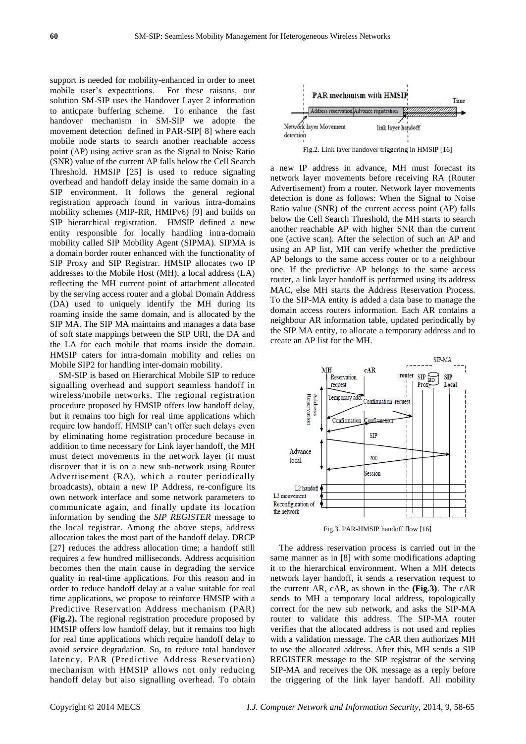support is needed for mobility-enhanced in order to meet mobile user's expectations. For these raisons, our solution SM-SIP uses the Handover Layer 2 information to anticpate buffering scheme. To enhance the fast handover mechanism in SM-SIP we adopte the movement detection defined in PAR-SIP[ 8] where each mobile node starts to search another reachable access point (AP) using active scan as the Signal to Noise Ratio (SNR) value of the current AP falls below the Cell Search Threshold. HMSIP [25] is used to reduce signaling overhead and handoff delay inside the same domain in a SIP environment. It follows the general regional registration approach found in various intra-domains mobility schemes (MIP-RR, HMIPv6) [9] and builds on SIP hierarchical registration. HMSIP defined a new entity responsible for locally handling intra-domain mobility called SIP Mobility Agent (SIPMA). SIPMA is a domain border router enhanced with the functionality of SIP Proxy and SIP Registrar. HMSIP allocates two IP addresses to the Mobile Host (MH), a local address (LA) reflecting the MH current point of attachment allocated by the serving access router and a global Domain Address (DA) used to uniquely identify the MH during its roaming inside the same domain, and is allocated by the SIP MA. The SIP MA maintains and manages a data base of soft state mappings between the SIP URI, the DA and the LA for each mobile that roams inside the domain. HMSIP caters for intra-domain mobility and relies on Mobile SIP2 for handling inter-domain mobility.

SM-SIP is based on Hierarchical Mobile SIP to reduce signalling overhead and support seamless handoff in wireless/mobile networks. The regional registration procedure proposed by HMSIP offers low handoff delay, but it remains too high for real time applications which require low handoff. HMSIP can't offer such delays even by eliminating home registration procedure because in addition to time necessary for Link layer handoff*,* the MH must detect movements in the network layer (it must discover that it is on a new sub-network using Router Advertisement (RA), which a router periodically broadcasts), obtain a new IP Address, re-configure its own network interface and some network parameters to communicate again, and finally update its location information by sending the *SIP REGISTER* message to the local registrar. Among the above steps, address allocation takes the most part of the handoff delay. DRCP [27] reduces the address allocation time; a handoff still requires a few hundred milliseconds. Address acquisition becomes then the main cause in degrading the service quality in real-time applications. For this reason and in order to reduce handoff delay at a value suitable for real time applications, we propose to reinforce HMSIP with a Predictive Reservation Address mechanism (PAR) **(Fig.2).** The regional registration procedure proposed by HMSIP offers low handoff delay, but it remains too high for real time applications which require handoff delay to avoid service degradation. So, to reduce total handover latency, PAR (Predictive Address Reservation) mechanism with HMSIP allows not only reducing handoff delay but also signalling overhead. To obtain



a new IP address in advance, MH must forecast its network layer movements before receiving RA (Router Advertisement) from a router. Network layer movements detection is done as follows: When the Signal to Noise Ratio value (SNR) of the current access point (AP) falls below the Cell Search Threshold, the MH starts to search another reachable AP with higher SNR than the current one (active scan). After the selection of such an AP and using an AP list, MH can verify whether the predictive AP belongs to the same access router or to a neighbour one. If the predictive AP belongs to the same access router, a link layer handoff is performed using its address MAC, else MH starts the Address Reservation Process. To the SIP-MA entity is added a data base to manage the domain access routers information. Each AR contains a neighbour AR information table, updated periodically by the SIP MA entity, to allocate a temporary address and to create an AP list for the MH.



Fig.3. PAR-HMSIP handoff flow [16]

The address reservation process is carried out in the same manner as in [8] with some modifications adapting it to the hierarchical environment. When a MH detects network layer handoff, it sends a reservation request to the current AR, cAR, as shown in the **(Fig.3)**. The cAR sends to MH a temporary local address, topologically correct for the new sub network, and asks the SIP-MA router to validate this address. The SIP-MA router verifies that the allocated address is not used and replies with a validation message. The cAR then authorizes MH to use the allocated address. After this, MH sends a SIP REGISTER message to the SIP registrar of the serving SIP-MA and receives the OK message as a reply before the triggering of the link layer handoff. All mobility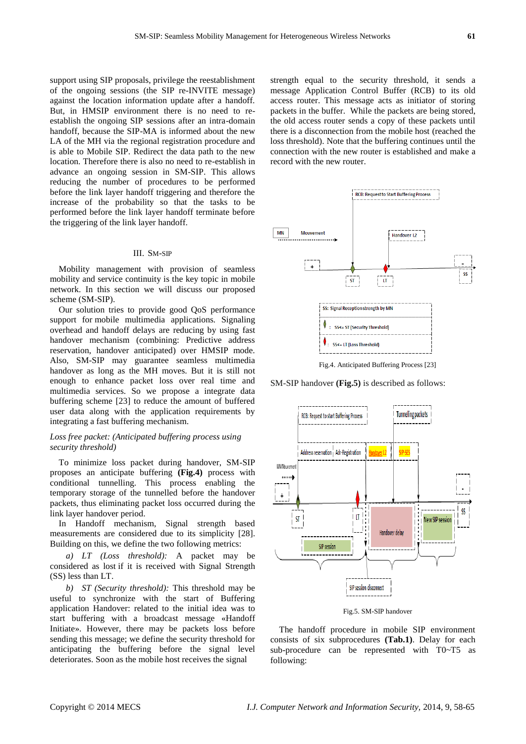support using SIP proposals, privilege the reestablishment of the ongoing sessions (the SIP re-INVITE message) against the location information update after a handoff. But, in HMSIP environment there is no need to reestablish the ongoing SIP sessions after an intra-domain handoff, because the SIP-MA is informed about the new LA of the MH via the regional registration procedure and is able to Mobile SIP. Redirect the data path to the new location. Therefore there is also no need to re-establish in advance an ongoing session in SM-SIP. This allows reducing the number of procedures to be performed before the link layer handoff triggering and therefore the increase of the probability so that the tasks to be performed before the link layer handoff terminate before the triggering of the link layer handoff.

#### III. SM-SIP

Mobility management with provision of seamless mobility and service continuity is the key topic in mobile network. In this section we will discuss our proposed scheme (SM-SIP).

Our solution tries to provide good QoS performance support for mobile multimedia applications*.* Signaling overhead and handoff delays are reducing by using fast handover mechanism (combining: Predictive address reservation, handover anticipated) over HMSIP mode. Also, SM-SIP may guarantee seamless multimedia handover as long as the MH moves. But it is still not enough to enhance packet loss over real time and multimedia services. So we propose a integrate data buffering scheme [23] to reduce the amount of buffered user data along with the application requirements by integrating a fast buffering mechanism.

## *Loss free packet: (Anticipated buffering process using security threshold)*

To minimize loss packet during handover, SM-SIP proposes an anticipate buffering **(Fig.4)** process with conditional tunnelling. This process enabling the temporary storage of the tunnelled before the handover packets, thus eliminating packet loss occurred during the link layer handover period.

In Handoff mechanism, Signal strength based measurements are considered due to its simplicity [28]. Building on this, we define the two following metrics:

*a) LT (Loss threshold):* A packet may be considered as lost if it is received with Signal Strength (SS) less than LT.

*b) ST (Security threshold):* This threshold may be useful to synchronize with the start of Buffering application Handover: related to the initial idea was to start buffering with a broadcast message «Handoff Initiate». However, there may be packets loss before sending this message; we define the security threshold for anticipating the buffering before the signal level deteriorates. Soon as the mobile host receives the signal

strength equal to the security threshold, it sends a message Application Control Buffer (RCB) to its old access router. This message acts as initiator of storing packets in the buffer. While the packets are being stored, the old access router sends a copy of these packets until there is a disconnection from the mobile host (reached the loss threshold). Note that the buffering continues until the connection with the new router is established and make a record with the new router.



Fig.4. Anticipated Buffering Process [23]

SM-SIP handover **(Fig.5)** is described as follows:



Fig.5. SM-SIP handover

The handoff procedure in mobile SIP environment consists of six subprocedures **(Tab.1)**. Delay for each sub-procedure can be represented with T0~T5 as following: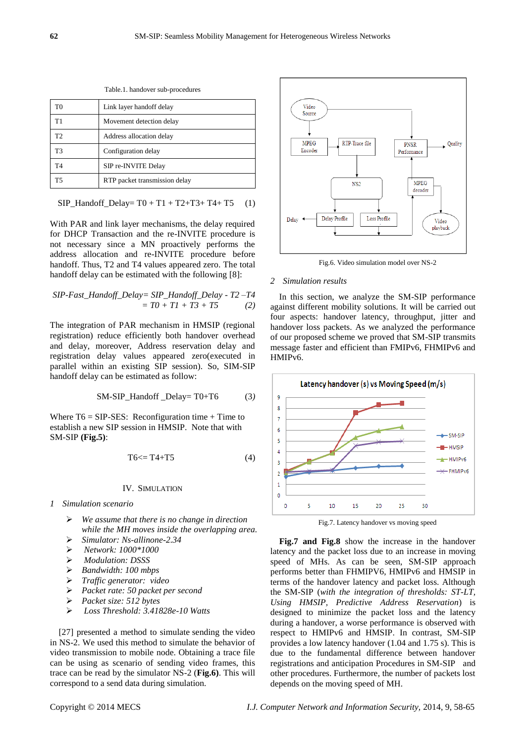| racierii manuo ter suo procedures |                               |
|-----------------------------------|-------------------------------|
| T <sub>0</sub>                    | Link layer handoff delay      |
| T1                                | Movement detection delay      |
| T <sub>2</sub>                    | Address allocation delay      |
| T3                                | Configuration delay           |
| T4                                | SIP re-INVITE Delay           |
| T5                                | RTP packet transmission delay |

Table.1. handover sub-procedures

$$
SIP\_Handoff\_Delay = T0 + T1 + T2 + T3 + T4 + T5
$$
 (1)

With PAR and link layer mechanisms, the delay required for DHCP Transaction and the re-INVITE procedure is not necessary since a MN proactively performs the address allocation and re-INVITE procedure before handoff. Thus, T2 and T4 values appeared zero. The total handoff delay can be estimated with the following [8]:

$$
SIP-Fast\_Handoff\_Delay = SIP\_Handoff\_Delay - T2 - T4
$$
  
= T0 + T1 + T3 + T5 (2)

The integration of PAR mechanism in HMSIP (regional registration) reduce efficiently both handover overhead and delay, moreover, Address reservation delay and registration delay values appeared zero(executed in parallel within an existing SIP session). So, SIM-SIP handoff delay can be estimated as follow:

$$
SM-SIP_Handoff_Delay = T0+T6
$$
 (3)

Where  $T6 = SIP-SES$ : Reconfiguration time + Time to establish a new SIP session in HMSIP. Note that with SM-SIP **(Fig.5)**:

$$
T6 \leq T4 + T5 \tag{4}
$$

#### IV. SIMULATION

- *1 Simulation scenario*
	- *We assume that there is no change in direction while the MH moves inside the overlapping area.*
	- *Simulator: Ns-allinone-2.34*
	- *Network: 1000\*1000*
	- *Modulation: DSSS*
	- *Bandwidth: 100 mbps*
	- *Traffic generator: video*
	- *Packet rate: 50 packet per second*
	- *Packet size: 512 bytes*
	- *Loss Threshold: 3.41828e-10 Watts*

[27] presented a method to simulate sending the video in NS-2. We used this method to simulate the behavior of video transmission to mobile node. Obtaining a trace file can be using as scenario of sending video frames, this trace can be read by the simulator NS-2 (**Fig.6)**. This will correspond to a send data during simulation.



Fig.6. Video simulation model over NS-2

#### *2 Simulation results*

In this section, we analyze the SM-SIP performance against different mobility solutions. It will be carried out four aspects: handover latency, throughput, jitter and handover loss packets. As we analyzed the performance of our proposed scheme we proved that SM-SIP transmits message faster and efficient than FMIPv6, FHMIPv6 and HMIPv6.



Fig.7. Latency handover vs moving speed

**Fig.7 and Fig.8** show the increase in the handover latency and the packet loss due to an increase in moving speed of MHs. As can be seen, SM-SIP approach performs better than FHMIPV6, HMIPv6 and HMSIP in terms of the handover latency and packet loss. Although the SM-SIP (*with the integration of thresholds: ST-LT, Using HMSIP, Predictive Address Reservation*) is designed to minimize the packet loss and the latency during a handover, a worse performance is observed with respect to HMIPv6 and HMSIP. In contrast, SM-SIP provides a low latency handover (1.04 and 1.75 s). This is due to the fundamental difference between handover registrations and anticipation Procedures in SM-SIP and other procedures. Furthermore, the number of packets lost depends on the moving speed of MH.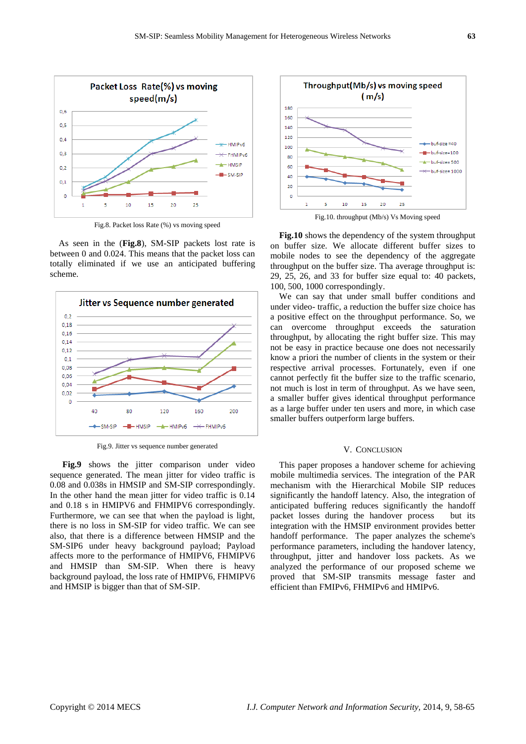

Fig.8. Packet loss Rate (%) vs moving speed

As seen in the (**Fig.8**), SM-SIP packets lost rate is between 0 and 0.024. This means that the packet loss can totally eliminated if we use an anticipated buffering scheme.



Fig.9. Jitter vs sequence number generated

Fig.9 shows the jitter comparison under video sequence generated. The mean jitter for video traffic is 0.08 and 0.038s in HMSIP and SM-SIP correspondingly. In the other hand the mean jitter for video traffic is 0.14 and 0.18 s in HMIPV6 and FHMIPV6 correspondingly. Furthermore, we can see that when the payload is light, there is no loss in SM-SIP for video traffic. We can see also, that there is a difference between HMSIP and the SM-SIP6 under heavy background payload; Payload affects more to the performance of HMIPV6, FHMIPV6 and HMSIP than SM-SIP. When there is heavy background payload, the loss rate of HMIPV6, FHMIPV6 and HMSIP is bigger than that of SM-SIP.



Fig.10. throughput (Mb/s) Vs Moving speed

**Fig.10** shows the dependency of the system throughput on buffer size. We allocate different buffer sizes to mobile nodes to see the dependency of the aggregate throughput on the buffer size. Tha average throughput is: 29, 25, 26, and 33 for buffer size equal to: 40 packets, 100, 500, 1000 correspondingly.

We can say that under small buffer conditions and under video- traffic, a reduction the buffer size choice has a positive effect on the throughput performance. So, we can overcome throughput exceeds the saturation throughput, by allocating the right buffer size. This may not be easy in practice because one does not necessarily know a priori the number of clients in the system or their respective arrival processes. Fortunately, even if one cannot perfectly fit the buffer size to the traffic scenario, not much is lost in term of throughput. As we have seen, a smaller buffer gives identical throughput performance as a large buffer under ten users and more, in which case smaller buffers outperform large buffers.

## V. CONCLUSION

This paper proposes a handover scheme for achieving mobile multimedia services. The integration of the PAR mechanism with the Hierarchical Mobile SIP reduces significantly the handoff latency. Also, the integration of anticipated buffering reduces significantly the handoff packet losses during the handover process but its integration with the HMSIP environment provides better handoff performance. The paper analyzes the scheme's performance parameters, including the handover latency, throughput, jitter and handover loss packets. As we analyzed the performance of our proposed scheme we proved that SM-SIP transmits message faster and efficient than FMIPv6, FHMIPv6 and HMIPv6.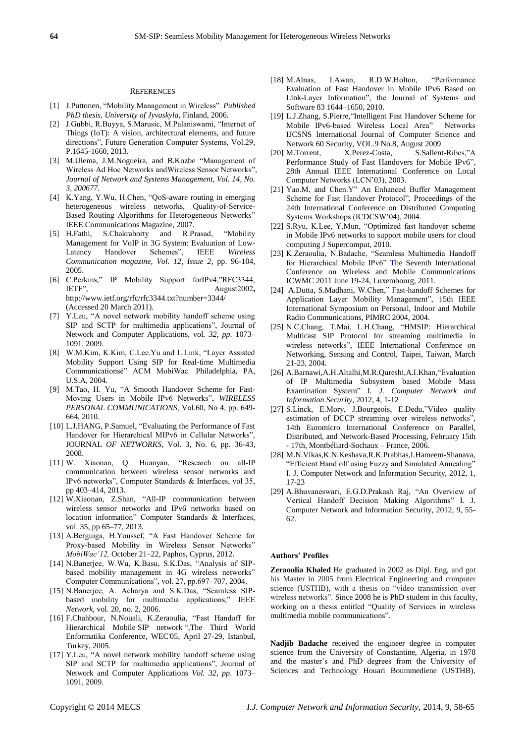#### **REFERENCES**

- [1] J.Puttonen, "Mobility Management in Wireless". Published *PhD thesis, University of Jyvaskyla,* Finland, 2006.
- [2] J.Gubbi, R.Buyya, S.Marusic, M.Palaniswami, "Internet of Things (IoT): A vision, architectural elements, and future directions", Future Generation Computer Systems, Vol.29, P.1645-1660, 2013.
- [3] M.Ulema, J.M.Nogueira, and B.Kozbe "Management of Wireless Ad Hoc Networks andWireless Sensor Networks", *Journal of Network and Systems Management, Vol. 14, No. 3, 200677.*
- [4] K.Yang, Y.Wu, H.Chen, "QoS-aware routing in emerging heterogeneous wireless networks, Quality-of-Service-Based Routing Algorithms for Heterogeneous Networks" IEEE Communications Magazine, 2007.
- [5] H.Fathi, S.Chakraborty and R.Prasad, "Mobility Management for VoIP in 3G System: Evaluation of Low-Latency Handover Schemes", IEEE Wireless *Communication magazine, Vol. 12, Issue 2*, pp. 96-104, 2005.
- [6] C.Perkins," IP Mobility Support forIPv4,"RFC3344, IETF", August2002, [http://www.ietf.org/rfc/rfc3344.txt?number=3344/](http://www.ietf.org/rfc/rfc3344.txt?number=3344/%20(Accessed)  [\(Accessed](http://www.ietf.org/rfc/rfc3344.txt?number=3344/%20(Accessed) 20 March 2011).
- [7] Y.Leu, "A novel network mobility handoff scheme using SIP and SCTP for multimedia applications", Journal of Network and Computer Applications, vol*. 32, pp*. 1073– 1091, 2009.
- [8] W.M.Kim, K.Kim, C.Lee.Yu and L.Link, "Layer Assisted Mobility Support Using SIP for Real-time Multimedia Communicationsé" ACM MobiWac. Philadelphia, PA, U.S.A, 2004.
- [9] M.Tao, H. Yu, "A Smooth Handover Scheme for Fast-Moving Users in Mobile IPv6 Networks", WIRELESS *PERSONAL COMMUNICATIONS,* Vol.60, No 4, pp. 649- 664, 2010.
- [10] L.J.HANG, P.Samuel, "Evaluating the Performance of Fast Handover for Hierarchical MIPv6 in Cellular Networks", JOURNAL *OF NETWORKS*, Vol. 3, No. 6, pp. 36-43, 2008.
- [11] W. Xiaonan, Q. Huanyan, "Research on all-IP communication between wireless sensor networks and IPv6 networks", Computer Standards & Interfaces, vol 35, pp 403–414, 2013.
- [12] W.Xiaonan, Z.Shan, "All-IP communication between wireless sensor networks and IPv6 networks based on location information" Computer Standards & Interfaces, vol. 35, pp 65–77, 2013.
- [13] A.Berguiga, H.Youssef, "A Fast Handover Scheme for Proxy-based Mobility in Wireless Sensor Networks" *MobiWac'12,* October 21–22, Paphos, Cyprus, 2012.
- [14] N.Banerjee, W.Wu, K.Basu, S.K.Das, "Analysis of SIPbased mobility management in 4G wireless networks" Computer Communications", vol. 27, pp.697–707, 2004.
- [15] N.Banerjee, A. Acharya and S.K.Das, "Seamless SIPbased mobility for multimedia applications," IEEE *Network*, vol. 20, no. 2, 2006.
- [16] F.Chahbour, N.Nouali, K.Zeraoulia, "Fast Handoff for Hierarchical Mobile SIP network ",The Third World Enformatika Conference, WEC'05, April 27-29, Istanbul, Turkey, 2005.
- [17] Y.Leu, "A novel network mobility handoff scheme using SIP and SCTP for multimedia applications", Journal of Network and Computer Applications *Vol. 32, pp*. 1073– 1091, 2009.
- [18] M.Alnas, I.Awan, R.D.W.Holton, "Performance" Evaluation of Fast Handover in Mobile IPv6 Based on Link-Layer Information", the Journal of Systems and Software 83 1644–1650, 2010.
- [19] L.J.Zhang, S.Pierre, "Intelligent Fast Handover Scheme for Mobile IPv6-based Wireless Local Area" Networks IJCSNS International Journal of Computer Science and Network 60 Security, VOL.9 No.8, August 2009
- [20] M.Torrent, X.Perez-Costa, S.Sallent-Ribes,"A Performance Study of Fast Handovers for Mobile IPv6", 28th Annual IEEE International Conference on Local Computer Networks (LCN'03), 2003.
- [21] Yao.M, and Chen.Y" An Enhanced Buffer Management Scheme for Fast Handover Protocol", Proceedings of the 24th International Conference on Distributed Computing Systems Workshops (ICDCSW'04), 2004.
- [22] S.Ryu, K.Lee, Y.Mun, "Optimized fast handover scheme in Mobile IPv6 networks to support mobile users for cloud computing J Supercomput, 2010.
- [23] K.Zeraoulia, N.Badache, "Seamless Multimedia Handoff for Hierarchical Mobile IPv6" The Seventh International Conference on Wireless and Mobile Communications ICWMC 2011 June 19-24, Luxembourg, 2011.
- [24] A.Dutta, S.Madhani, W.Chen," Fast-handoff Schemes for Application Layer Mobility Management", 15th IEEE International Symposium on Personal, Indoor and Mobile Radio Communications, PIMRC 2004, 2004.
- [25] N.C.Chang, T.Mai, L.H.Chang, "HMSIP: Hierarchical Multicast SIP Protocol for streaming multimedia in wireless networks", IEEE International Conference on Networking, Sensing and Control, Taipei, Taiwan, March 21-23, 2004.
- [26] A.Barnawi,A.H.Altalhi,M.R.Qureshi,A.I.Khan, "Evaluation of IP Multimedia Subsystem based Mobile Mass Examination System" I. J. Computer Network and *Information Security*, 2012, 4, 1-12
- [27] S.Linck, E.Mory, J.Bourgeois, E.Dedu,"Video quality estimation of DCCP streaming over wireless networks", 14th Euromicro International Conference on Parallel, Distributed, and Network-Based Processing, February 15th - 17th, Montb diard-Sochaux – France, 2006.
- [28] M.N.Vikas,K.N.Keshava,R.K.Prabhas,I.Hameem-Shanava, "Efficient Hand off using Fuzzy and Simulated Annealing" I. J. Computer Network and Information Security, 2012, 1, 17-23
- [29] A.Bhuvaneswari, E.G.D.Prakash Raj, "An Overview of Vertical Handoff Decision Making Algorithms" I. J. Computer Network and Information Security, 2012, 9, 55- 62.

## **Authors' Profiles**

**Zeraoulia Khaled** He graduated in 2002 as Dipl. Eng, and got his Master in 2005 from Electrical Engineering and computer science (USTHB), with a thesis on "video transmission over wireless networks". Since 2008 he is PhD student in this faculty, working on a thesis entitled "Quality of Services in wireless multimedia mobile communications".

**Nadjib Badache** received the engineer degree in computer science from the University of Constantine, Algeria, in 1978 and the master's and PhD degrees from the University of Sciences and Technology Houari Boummediene (USTHB),